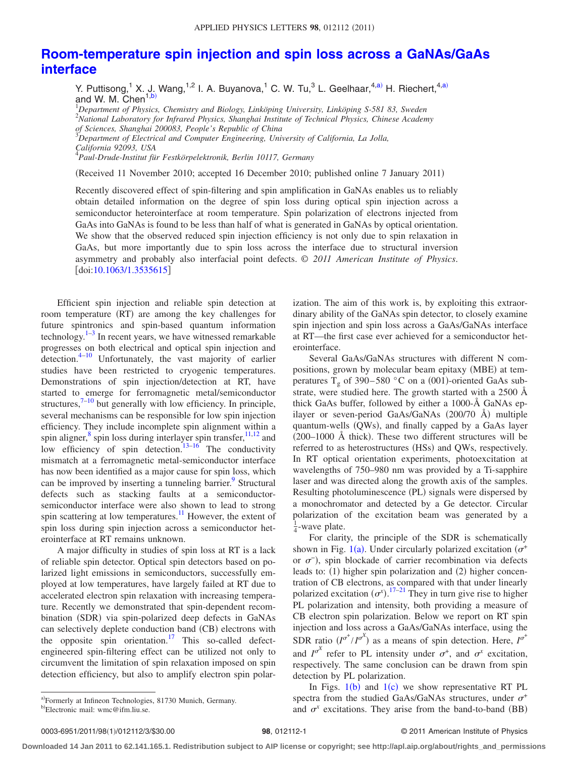## **[Room-temperature spin injection and spin loss across a GaNAs/GaAs](http://dx.doi.org/10.1063/1.3535615) [interface](http://dx.doi.org/10.1063/1.3535615)**

Y. Puttisong,<sup>1</sup> X. J. Wang,<sup>1,2</sup> I. A. Buyanova,<sup>1</sup> C. W. Tu,<sup>3</sup> L. Geelhaar,<sup>4[,a](#page-0-0))</sup> H. Riechert,<sup>4,a)</sup><br>and W. M. Chen<sup>1[,b](#page-0-1))</sup>

 *Department of Physics, Chemistry and Biology, Linköping University, Linköping S-581 83, Sweden National Laboratory for Infrared Physics, Shanghai Institute of Technical Physics, Chinese Academy of Sciences, Shanghai 200083, People's Republic of China Department of Electrical and Computer Engineering, University of California, La Jolla,*

*California 92093, USA* 4 *Paul-Drude-Institut für Festkörpelektronik, Berlin 10117, Germany*

(Received 11 November 2010; accepted 16 December 2010; published online 7 January 2011)

Recently discovered effect of spin-filtering and spin amplification in GaNAs enables us to reliably obtain detailed information on the degree of spin loss during optical spin injection across a semiconductor heterointerface at room temperature. Spin polarization of electrons injected from GaAs into GaNAs is found to be less than half of what is generated in GaNAs by optical orientation. We show that the observed reduced spin injection efficiency is not only due to spin relaxation in GaAs, but more importantly due to spin loss across the interface due to structural inversion asymmetry and probably also interfacial point defects. © *2011 American Institute of Physics*.  $\lceil \text{doi:10.1063/1.3535615} \rceil$  $\lceil \text{doi:10.1063/1.3535615} \rceil$  $\lceil \text{doi:10.1063/1.3535615} \rceil$ 

Efficient spin injection and reliable spin detection at room temperature (RT) are among the key challenges for future spintronics and spin-based quantum information technology. $1-3$  $1-3$  In recent years, we have witnessed remarkable progresses on both electrical and optical spin injection and detection[.4](#page-2-2)[–10](#page-2-3) Unfortunately, the vast majority of earlier studies have been restricted to cryogenic temperatures. Demonstrations of spin injection/detection at RT, have started to emerge for ferromagnetic metal/semiconductor structures, $7^{-10}$  $7^{-10}$  $7^{-10}$  but generally with low efficiency. In principle, several mechanisms can be responsible for low spin injection efficiency. They include incomplete spin alignment within a spin aligner,<sup>8</sup> spin loss during interlayer spin transfer,  $11,12$  $11,12$  and low efficiency of spin detection.<sup>13[–16](#page-2-9)</sup> The conductivity mismatch at a ferromagnetic metal-semiconductor interface has now been identified as a major cause for spin loss, which can be improved by inserting a tunneling barrier.<sup>9</sup> Structural defects such as stacking faults at a semiconductorsemiconductor interface were also shown to lead to strong spin scattering at low temperatures.<sup>11</sup> However, the extent of spin loss during spin injection across a semiconductor heterointerface at RT remains unknown.

A major difficulty in studies of spin loss at RT is a lack of reliable spin detector. Optical spin detectors based on polarized light emissions in semiconductors, successfully employed at low temperatures, have largely failed at RT due to accelerated electron spin relaxation with increasing temperature. Recently we demonstrated that spin-dependent recombination (SDR) via spin-polarized deep defects in GaNAs can selectively deplete conduction band (CB) electrons with the opposite spin orientation.<sup>17</sup> This so-called defectengineered spin-filtering effect can be utilized not only to circumvent the limitation of spin relaxation imposed on spin detection efficiency, but also to amplify electron spin polarization. The aim of this work is, by exploiting this extraordinary ability of the GaNAs spin detector, to closely examine spin injection and spin loss across a GaAs/GaNAs interface at RT—the first case ever achieved for a semiconductor heterointerface.

Several GaAs/GaNAs structures with different N compositions, grown by molecular beam epitaxy (MBE) at temperatures  $T_g$  of 390–580 °C on a (001)-oriented GaAs substrate, were studied here. The growth started with a 2500 Å thick GaAs buffer, followed by either a 1000-Å GaNAs epilayer or seven-period GaAs/GaNAs (200/70 Å) multiple quantum-wells (QWs), and finally capped by a GaAs layer  $(200-1000 \text{ Å}$  thick). These two different structures will be referred to as heterostructures (HSs) and QWs, respectively. In RT optical orientation experiments, photoexcitation at wavelengths of 750–980 nm was provided by a Ti-sapphire laser and was directed along the growth axis of the samples. Resulting photoluminescence (PL) signals were dispersed by a monochromator and detected by a Ge detector. Circular polarization of the excitation beam was generated by a  $\frac{1}{4}$ -wave plate.

For clarity, the principle of the SDR is schematically shown in Fig. [1](#page-1-0)(a). Under circularly polarized excitation ( $\sigma^+$ or  $\sigma^-$ ), spin blockade of carrier recombination via defects leads to: (1) higher spin polarization and (2) higher concentration of CB electrons, as compared with that under linearly polarized excitation  $(\sigma^x)$ . <sup>[17–](#page-2-11)[21](#page-2-12)</sup> They in turn give rise to higher PL polarization and intensity, both providing a measure of CB electron spin polarization. Below we report on RT spin injection and loss across a GaAs/GaNAs interface, using the SDR ratio  $(I^{\sigma^+}/I^{\sigma^X})$  as a means of spin detection. Here,  $I^{\sigma^+}$ and  $I^{\sigma^X}$  refer to PL intensity under  $\sigma^+$ , and  $\sigma^x$  excitation, respectively. The same conclusion can be drawn from spin detection by PL polarization.

In Figs.  $1(b)$  $1(b)$  and  $1(c)$  we show representative RT PL spectra from the studied GaAs/GaNAs structures, under  $\sigma^+$ and  $\sigma^x$  excitations. They arise from the band-to-band (BB)

<span id="page-0-1"></span><span id="page-0-0"></span>a)Formerly at Infineon Technologies, 81730 Munich, Germany. b Electronic mail: wmc@ifm.liu.se.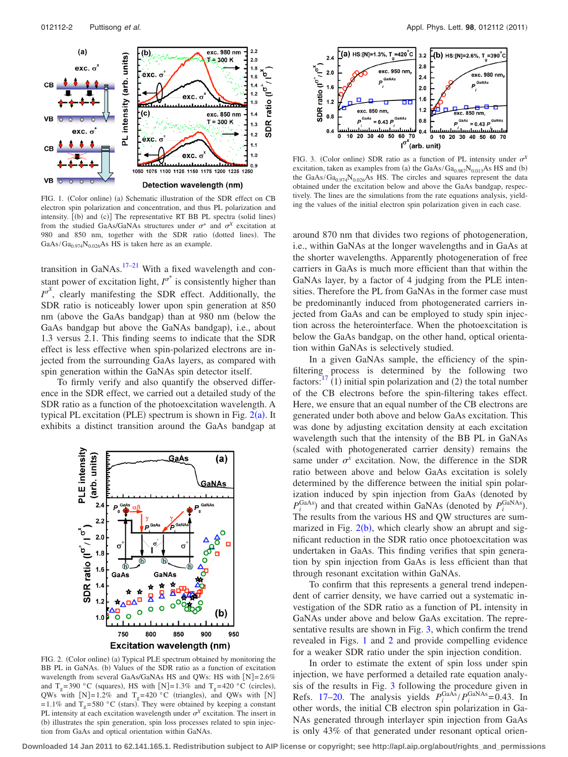<span id="page-1-0"></span>

FIG. 1. (Color online) (a) Schematic illustration of the SDR effect on CB electron spin polarization and concentration, and thus PL polarization and intensity. [(b) and (c)] The representative RT BB PL spectra (solid lines) from the studied GaAs/GaNAs structures under  $\sigma^+$  and  $\sigma^X$  excitation at 980 and 850 nm, together with the SDR ratio (dotted lines). The  $GaAs/Ga<sub>0.974</sub>N<sub>0.026</sub>As HS$  is taken here as an example.

transition in GaNAs.<sup>17[–21](#page-2-12)</sup> With a fixed wavelength and constant power of excitation light,  $I^{\sigma^+}$  is consistently higher than  $I^{\sigma^X}$ , clearly manifesting the SDR effect. Additionally, the SDR ratio is noticeably lower upon spin generation at 850 nm (above the GaAs bandgap) than at 980 nm (below the GaAs bandgap but above the GaNAs bandgap, i.e., about 1.3 versus 2.1. This finding seems to indicate that the SDR effect is less effective when spin-polarized electrons are injected from the surrounding GaAs layers, as compared with spin generation within the GaNAs spin detector itself.

<span id="page-1-1"></span>To firmly verify and also quantify the observed difference in the SDR effect, we carried out a detailed study of the SDR ratio as a function of the photoexcitation wavelength. A typical PL excitation (PLE) spectrum is shown in Fig.  $2(a)$  $2(a)$ . It exhibits a distinct transition around the GaAs bandgap at



FIG. 2. (Color online) (a) Typical PLE spectrum obtained by monitoring the BB PL in GaNAs. (b) Values of the SDR ratio as a function of excitation wavelength from several GaAs/GaNAs HS and QWs: HS with  $[N]=2.6\%$ and T<sub>g</sub>=390 °C (squares), HS with [N]=1.3% and T<sub>g</sub>=420 °C (circles), QWs with  $[N]=1.2\%$  and  $T_g=420\degree C$  (triangles), and QWs with [N] = 1.1% and  $T_g$ = 580 °C (stars). They were obtained by keeping a constant PL intensity at each excitation wavelength under  $\sigma^X$  excitation. The insert in (b) illustrates the spin generation, spin loss processes related to spin injection from GaAs and optical orientation within GaNAs.

<span id="page-1-2"></span>

FIG. 3. (Color online) SDR ratio as a function of PL intensity under  $\sigma^X$ excitation, taken as examples from (a) the  $GaAs/Ga<sub>0.987</sub>N<sub>0.013</sub>As HS$  and (b) the GaAs/Ga<sub>0.974</sub>N<sub>0.026</sub>As HS. The circles and squares represent the data obtained under the excitation below and above the GaAs bandgap, respectively. The lines are the simulations from the rate equations analysis, yielding the values of the initial electron spin polarization given in each case.

around 870 nm that divides two regions of photogeneration, i.e., within GaNAs at the longer wavelengths and in GaAs at the shorter wavelengths. Apparently photogeneration of free carriers in GaAs is much more efficient than that within the GaNAs layer, by a factor of 4 judging from the PLE intensities. Therefore the PL from GaNAs in the former case must be predominantly induced from photogenerated carriers injected from GaAs and can be employed to study spin injection across the heterointerface. When the photoexcitation is below the GaAs bandgap, on the other hand, optical orientation within GaNAs is selectively studied.

In a given GaNAs sample, the efficiency of the spinfiltering process is determined by the following two factors: 1) initial spin polarization and  $(2)$  the total number of the CB electrons before the spin-filtering takes effect. Here, we ensure that an equal number of the CB electrons are generated under both above and below GaAs excitation. This was done by adjusting excitation density at each excitation wavelength such that the intensity of the BB PL in GaNAs (scaled with photogenerated carrier density) remains the same under  $\sigma^x$  excitation. Now, the difference in the SDR ratio between above and below GaAs excitation is solely determined by the difference between the initial spin polarization induced by spin injection from GaAs (denoted by  $P_i^{\text{GaAs}}$ ) and that created within GaNAs (denoted by  $P_i^{\text{GaNAs}}$ ). The results from the various HS and QW structures are summarized in Fig.  $2(b)$  $2(b)$ , which clearly show an abrupt and significant reduction in the SDR ratio once photoexcitation was undertaken in GaAs. This finding verifies that spin generation by spin injection from GaAs is less efficient than that through resonant excitation within GaNAs.

To confirm that this represents a general trend independent of carrier density, we have carried out a systematic investigation of the SDR ratio as a function of PL intensity in GaNAs under above and below GaAs excitation. The representative results are shown in Fig. [3,](#page-1-2) which confirm the trend revealed in Figs. [1](#page-1-0) and [2](#page-1-1) and provide compelling evidence for a weaker SDR ratio under the spin injection condition.

In order to estimate the extent of spin loss under spin injection, we have performed a detailed rate equation analysis of the results in Fig. [3](#page-1-2) following the procedure given in Refs. [17–](#page-2-11)[20.](#page-2-13) The analysis yields  $P_i^{\text{GaAs}}/P_i^{\text{GaNs}} = 0.43$ . In other words, the initial CB electron spin polarization in Ga-NAs generated through interlayer spin injection from GaAs is only 43% of that generated under resonant optical orien-

**Downloaded 14 Jan 2011 to 62.141.165.1. Redistribution subject to AIP license or copyright; see http://apl.aip.org/about/rights\_and\_permissions**